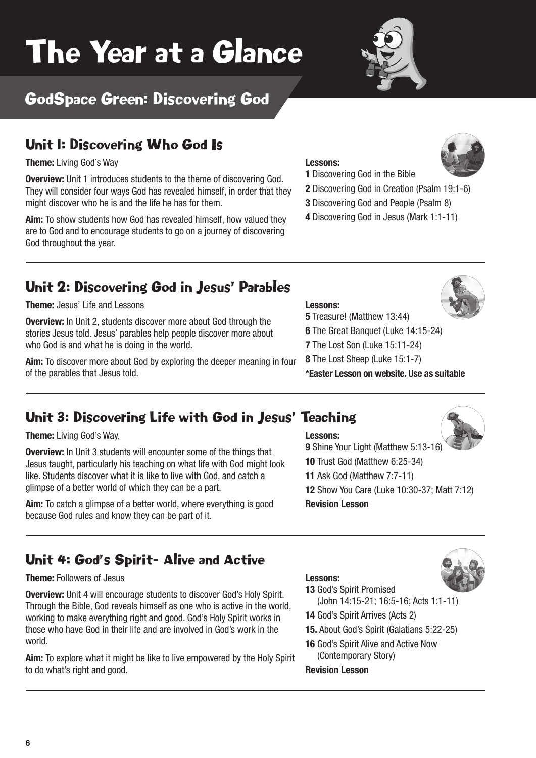# The Year at a Glance



# GodSpace Green: Discovering God

### Unit 1: Discovering Who God Is

**Theme:** Living God's Way **Lessons:**

**Overview:** Unit 1 introduces students to the theme of discovering God. They will consider four ways God has revealed himself, in order that they might discover who he is and the life he has for them.

**Aim:** To show students how God has revealed himself, how valued they are to God and to encourage students to go on a journey of discovering God throughout the year.



- **1** Discovering God in the Bible
- **2** Discovering God in Creation (Psalm 19:1-6)
- **3** Discovering God and People (Psalm 8)
- **4** Discovering God in Jesus (Mark 1:1-11)

### Unit 2: Discovering God in Jesus' Parables

**Theme:** Jesus' Life and Lessons **Lessons:**

**Overview:** In Unit 2, students discover more about God through the stories Jesus told. Jesus' parables help people discover more about who God is and what he is doing in the world.

**Aim:** To discover more about God by exploring the deeper meaning in four of the parables that Jesus told.

- **5** Treasure! (Matthew 13:44)
- **6** The Great Banquet (Luke 14:15-24)
- **7** The Lost Son (Luke 15:11-24)
- **8** The Lost Sheep (Luke 15:1-7)

**\*Easter Lesson on website. Use as suitable**

## Unit 3: Discovering Life with God in Jesus' Teaching

**Theme:** Living God's Way, **Lessons:**

**Overview:** In Unit 3 students will encounter some of the things that Jesus taught, particularly his teaching on what life with God might look like. Students discover what it is like to live with God, and catch a glimpse of a better world of which they can be a part.

**Aim:** To catch a glimpse of a better world, where everything is good because God rules and know they can be part of it.

# Unit 4: God's Spirit- Alive and Active

### **Theme:** Followers of Jesus **Lessons:**

**Overview:** Unit 4 will encourage students to discover God's Holy Spirit. Through the Bible, God reveals himself as one who is active in the world, working to make everything right and good. God's Holy Spirit works in those who have God in their life and are involved in God's work in the world.

**Aim:** To explore what it might be like to live empowered by the Holy Spirit to do what's right and good.





- **13** God's Spirit Promised
- (John 14:15-21; 16:5-16; Acts 1:1-11)
- **14** God's Spirit Arrives (Acts 2)
- **15.** About God's Spirit (Galatians 5:22-25)
- **16** God's Spirit Alive and Active Now

(Contemporary Story)

**Revision Lesson**